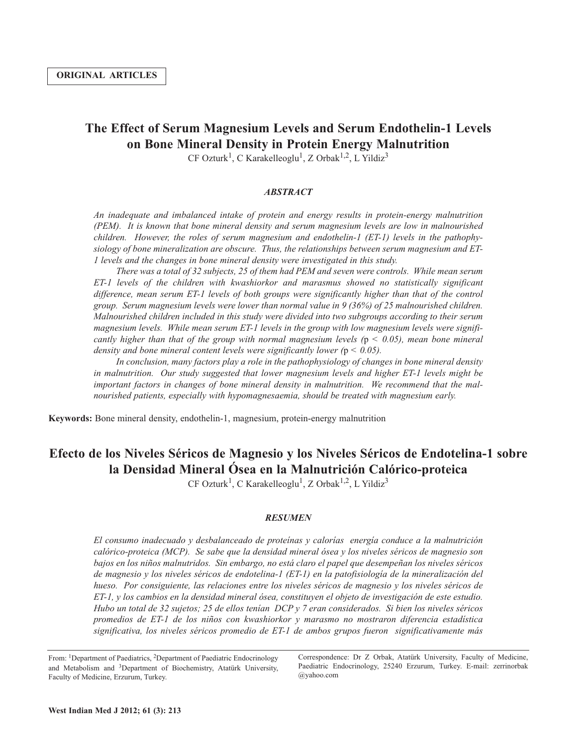# **The Effect of Serum Magnesium Levels and Serum Endothelin-1 Levels on Bone Mineral Density in Protein Energy Malnutrition**

 $CF$  Ozturk<sup>1</sup>, C Karakelleoglu<sup>1</sup>, Z Orbak<sup>1,2</sup>, L Yildiz<sup>3</sup>

### *ABSTRACT*

*An inadequate and imbalanced intake of protein and energy results in protein-energy malnutrition (PEM). It is known that bone mineral density and serum magnesium levels are low in malnourished children. However, the roles of serum magnesium and endothelin-1 (ET-1) levels in the pathophysiology of bone mineralization are obscure. Thus, the relationships between serum magnesium and ET-1 levels and the changes in bone mineral density were investigated in this study.*

There was a total of 32 subjects, 25 of them had PEM and seven were controls. While mean serum *ET-1 levels of the children with kwashiorkor and marasmus showed no statistically significant difference, mean serum ET-1 levels of both groups were significantly higher than that of the control group. Serum magnesium levels were lower than normal value in 9 (36%) of 25 malnourished children. Malnourished children included in this study were divided into two subgroups according to their serum magnesium levels. While mean serum ET-1 levels in the group with low magnesium levels were significantly higher than that of the group with normal magnesium levels (*p *< 0.05), mean bone mineral density and bone mineral content levels were significantly lower (*p *< 0.05).*

*In conclusion, many factors play a role in the pathophysiology of changes in bone mineral density in malnutrition. Our study suggested that lower magnesium levels and higher ET-1 levels might be important factors in changes of bone mineral density in malnutrition. We recommend that the malnourished patients, especially with hypomagnesaemia, should be treated with magnesium early.*

**Keywords:** Bone mineral density, endothelin-1, magnesium, protein-energy malnutrition

## **Efecto de los Niveles Séricos de Magnesio y los Niveles Séricos de Endotelina-1 sobre la Densidad Mineral Ósea en la Malnutrición Calórico-proteica**

 $CF$  Ozturk<sup>1</sup>, C Karakelleoglu<sup>1</sup>, Z Orbak<sup>1,2</sup>, L Yildiz<sup>3</sup>

### *RESUMEN*

*El consumo inadecuado y desbalanceado de proteínas y calorías energía conduce a la malnutrición calórico-proteica (MCP). Se sabe que la densidad mineral ósea y los niveles séricos de magnesio son bajos en los niños malnutridos. Sin embargo, no está claro el papel que desempeñan los niveles séricos de magnesio y los niveles séricos de endotelina-1 (ET-1) en la patofisiología de la mineralización del hueso. Por consiguiente, las relaciones entre los niveles séricos de magnesio y los niveles séricos de ET-1, y los cambios en la densidad mineral ósea, constituyen el objeto de investigación de este estudio.* Hubo un total de 32 sujetos; 25 de ellos tenían DCP y 7 eran considerados. Si bien los niveles séricos *promedios de ET-1 de los niños con kwashiorkor y marasmo no mostraron diferencia estadística significativa, los niveles séricos promedio de ET-1 de ambos grupos fueron significativamente más*

Correspondence: Dr Z Orbak, Atatürk University, Faculty of Medicine, Paediatric Endocrinology, 25240 Erzurum, Turkey. E-mail: zerrinorbak @yahoo.com

From: 1Department of Paediatrics, 2Department of Paediatric Endocrinology and Metabolism and 3Department of Biochemistry, Atatürk University, Faculty of Medicine, Erzurum, Turkey.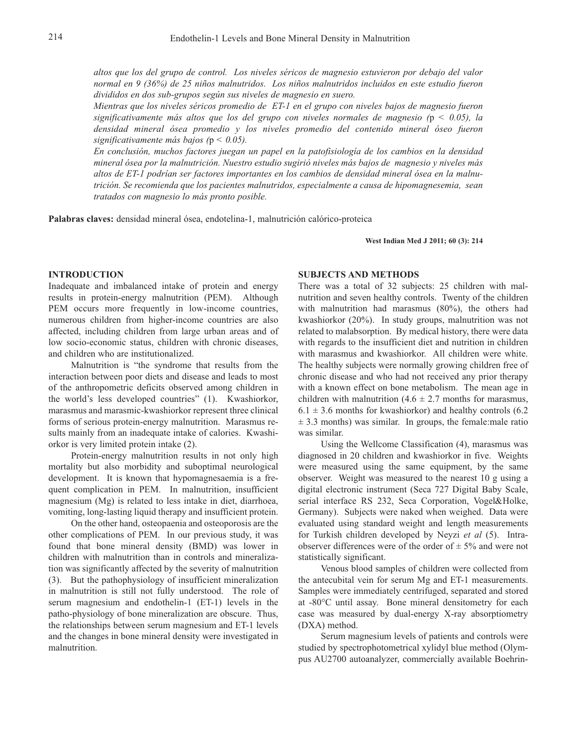*altos que los del grupo de control. Los niveles séricos de magnesio estuvieron por debajo del valor normal en 9 (36%) de 25 niños malnutridos. Los niños malnutridos incluidos en este estudio fueron divididos en dos sub-grupos según sus niveles de magnesio en suero.*

*Mientras que los niveles séricos promedio de ET-1 en el grupo con niveles bajos de magnesio fueron significativamente más altos que los del grupo con niveles normales de magnesio (*p *< 0.05), la densidad mineral ósea promedio y los niveles promedio del contenido mineral óseo fueron significativamente más bajos (*p *< 0.05).*

*En conclusión, muchos factores juegan un papel en la patofisiología de los cambios en la densidad mineral ósea por la malnutrición. Nuestro estudio sugirió niveles más bajos de magnesio y niveles más altos de ET-1 podrían ser factores importantes en los cambios de densidad mineral ósea en la malnutrición. Se recomienda que los pacientes malnutridos, especialmente a causa de hipomagnesemia, sean tratados con magnesio lo más pronto posible.*

**Palabras claves:** densidad mineral ósea, endotelina-1, malnutrición calórico-proteica

**West Indian Med J 2011; 60 (3): 214**

#### **INTRODUCTION**

Inadequate and imbalanced intake of protein and energy results in protein-energy malnutrition (PEM). Although PEM occurs more frequently in low-income countries, numerous children from higher-income countries are also affected, including children from large urban areas and of low socio-economic status, children with chronic diseases, and children who are institutionalized.

Malnutrition is "the syndrome that results from the interaction between poor diets and disease and leads to most of the anthropometric deficits observed among children in the world's less developed countries" (1). Kwashiorkor, marasmus and marasmic-kwashiorkor represent three clinical forms of serious protein-energy malnutrition. Marasmus results mainly from an inadequate intake of calories. Kwashiorkor is very limited protein intake (2).

Protein-energy malnutrition results in not only high mortality but also morbidity and suboptimal neurological development. It is known that hypomagnesaemia is a frequent complication in PEM. In malnutrition, insufficient magnesium (Mg) is related to less intake in diet, diarrhoea, vomiting, long-lasting liquid therapy and insufficient protein.

On the other hand, osteopaenia and osteoporosis are the other complications of PEM. In our previous study, it was found that bone mineral density (BMD) was lower in children with malnutrition than in controls and mineralization was significantly affected by the severity of malnutrition (3). But the pathophysiology of insufficient mineralization in malnutrition is still not fully understood. The role of serum magnesium and endothelin-1 (ET-1) levels in the patho-physiology of bone mineralization are obscure. Thus, the relationships between serum magnesium and ET-1 levels and the changes in bone mineral density were investigated in malnutrition.

### **SUBJECTS AND METHODS**

There was a total of 32 subjects: 25 children with malnutrition and seven healthy controls. Twenty of the children with malnutrition had marasmus (80%), the others had kwashiorkor (20%). In study groups, malnutrition was not related to malabsorption. By medical history, there were data with regards to the insufficient diet and nutrition in children with marasmus and kwashiorkor. All children were white. The healthy subjects were normally growing children free of chronic disease and who had not received any prior therapy with a known effect on bone metabolism. The mean age in children with malnutrition  $(4.6 \pm 2.7 \text{ months}$  for marasmus,  $6.1 \pm 3.6$  months for kwashiorkor) and healthy controls (6.2)  $\pm$  3.3 months) was similar. In groups, the female:male ratio was similar.

Using the Wellcome Classification (4), marasmus was diagnosed in 20 children and kwashiorkor in five. Weights were measured using the same equipment, by the same observer. Weight was measured to the nearest 10 g using a digital electronic instrument (Seca 727 Digital Baby Scale, serial interface RS 232, Seca Corporation, Vogel&Holke, Germany). Subjects were naked when weighed. Data were evaluated using standard weight and length measurements for Turkish children developed by Neyzi *et al* (5). Intraobserver differences were of the order of  $\pm$  5% and were not statistically significant.

Venous blood samples of children were collected from the antecubital vein for serum Mg and ET-1 measurements. Samples were immediately centrifuged, separated and stored at -80°C until assay. Bone mineral densitometry for each case was measured by dual-energy X-ray absorptiometry (DXA) method.

Serum magnesium levels of patients and controls were studied by spectrophotometrical xylidyl blue method (Olympus AU2700 autoanalyzer, commercially available Boehrin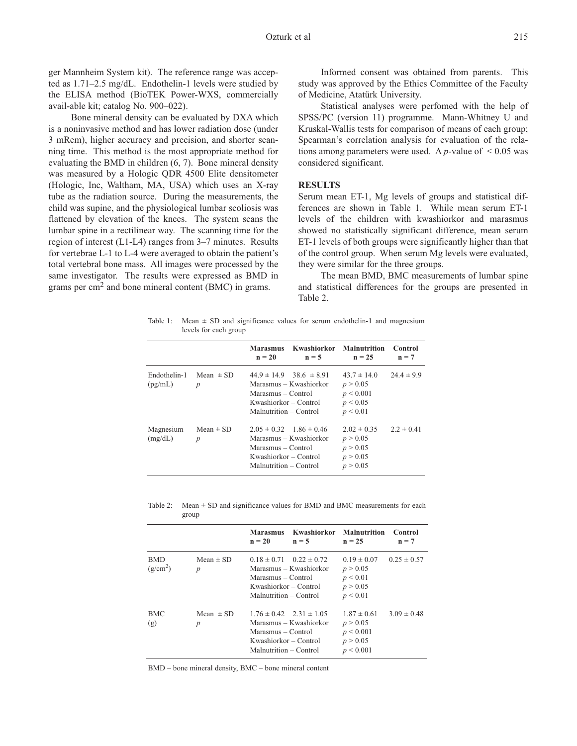ger Mannheim System kit). The reference range was accepted as 1.71–2.5 mg/dL. Endothelin-1 levels were studied by the ELISA method (BioTEK Power-WXS, commercially avail-able kit; catalog No. 900–022).

Bone mineral density can be evaluated by DXA which is a noninvasive method and has lower radiation dose (under 3 mRem), higher accuracy and precision, and shorter scanning time. This method is the most appropriate method for evaluating the BMD in children (6, 7). Bone mineral density was measured by a Hologic QDR 4500 Elite densitometer (Hologic, Inc, Waltham, MA, USA) which uses an X-ray tube as the radiation source. During the measurements, the child was supine, and the physiological lumbar scoliosis was flattened by elevation of the knees. The system scans the lumbar spine in a rectilinear way. The scanning time for the region of interest (L1-L4) ranges from 3–7 minutes. Results for vertebrae L-1 to L-4 were averaged to obtain the patient's total vertebral bone mass. All images were processed by the same investigator. The results were expressed as BMD in grams per  $\text{cm}^2$  and bone mineral content (BMC) in grams.

Informed consent was obtained from parents. This study was approved by the Ethics Committee of the Faculty of Medicine, Atatürk University.

Statistical analyses were perfomed with the help of SPSS/PC (version 11) programme. Mann-Whitney U and Kruskal-Wallis tests for comparison of means of each group; Spearman's correlation analysis for evaluation of the relations among parameters were used. A  $p$ -value of  $\leq 0.05$  was considered significant.

#### **RESULTS**

Serum mean ET-1, Mg levels of groups and statistical differences are shown in Table 1. While mean serum ET-1 levels of the children with kwashiorkor and marasmus showed no statistically significant difference, mean serum ET-1 levels of both groups were significantly higher than that of the control group. When serum Mg levels were evaluated, they were similar for the three groups.

The mean BMD, BMC measurements of lumbar spine and statistical differences for the groups are presented in Table 2.

Table 1: Mean  $\pm$  SD and significance values for serum endothelin-1 and magnesium levels for each group

|                         |                                   | <b>Marasmus</b><br>$n = 20$                                                                              | Kwashiorkor<br>$n = 5$                                    | Malnutrition<br>$n = 25$                                         | Control<br>$n = 7$ |
|-------------------------|-----------------------------------|----------------------------------------------------------------------------------------------------------|-----------------------------------------------------------|------------------------------------------------------------------|--------------------|
| Endothelin-1<br>(pg/mL) | Mean $\pm$ SD<br>$\boldsymbol{p}$ | Marasmus – Control<br>Kwashiorkor – Control<br>Malnutrition – Control                                    | $44.9 \pm 14.9$ 38.6 $\pm$ 8.91<br>Marasmus – Kwashiorkor | $43.7 \pm 14.0$<br>p > 0.05<br>p < 0.001<br>p < 0.05<br>p < 0.01 | $24.4 \pm 9.9$     |
| Magnesium<br>(mg/dL)    | Mean $\pm$ SD<br>$\boldsymbol{p}$ | $2.05 \pm 0.32$ $1.86 \pm 0.46$<br>Marasmus – Control<br>Kwashiorkor – Control<br>Malnutrition – Control | Marasmus – Kwashiorkor                                    | $2.02 \pm 0.35$<br>p > 0.05<br>p > 0.05<br>p > 0.05<br>p > 0.05  | $2.2 \pm 0.41$     |

| Table 2: Mean $\pm$ SD and significance values for BMD and BMC measurements for each |
|--------------------------------------------------------------------------------------|
| group                                                                                |

|                                    |                                   | <b>Marasmus</b><br>$n = 20$                                                                              | Kwashiorkor Malnutrition<br>$n = 5$                       | $n = 25$                                                              | Control<br>$n = 7$ |
|------------------------------------|-----------------------------------|----------------------------------------------------------------------------------------------------------|-----------------------------------------------------------|-----------------------------------------------------------------------|--------------------|
| <b>BMD</b><br>(g/cm <sup>2</sup> ) | Mean $\pm$ SD<br>$\boldsymbol{p}$ | Marasmus – Control<br>Kwashiorkor – Control<br>Malnutrition – Control                                    | $0.18 \pm 0.71$ $0.22 \pm 0.72$<br>Marasmus – Kwashiorkor | $0.19 \pm 0.07$<br>p > 0.05<br>p < 0.01<br>p > 0.05<br>p < 0.01       | $0.25 \pm 0.57$    |
| <b>BMC</b><br>(g)                  | Mean $\pm$ SD<br>$\boldsymbol{p}$ | $1.76 \pm 0.42$ $2.31 \pm 1.05$<br>Marasmus – Control<br>Kwashiorkor – Control<br>Malnutrition – Control | Marasmus – Kwashiorkor                                    | $1.87 \pm 0.61$<br>p > 0.05<br>p < 0.001<br>p > 0.05<br>$p \le 0.001$ | $3.09 \pm 0.48$    |

BMD – bone mineral density, BMC – bone mineral content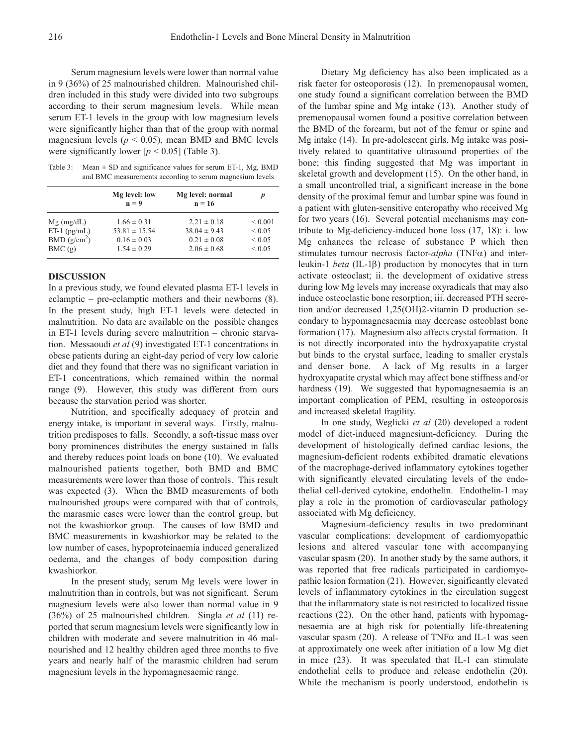Serum magnesium levels were lower than normal value in 9 (36%) of 25 malnourished children. Malnourished children included in this study were divided into two subgroups according to their serum magnesium levels. While mean serum ET-1 levels in the group with low magnesium levels were significantly higher than that of the group with normal magnesium levels ( $p < 0.05$ ), mean BMD and BMC levels were significantly lower  $[p < 0.05]$  (Table 3).

Table 3: Mean  $\pm$  SD and significance values for serum ET-1, Mg, BMD and BMC measurements according to serum magnesium levels

|                         | Mg level: low<br>$n = 9$ | Mg level: normal<br>$n = 16$ | p            |
|-------------------------|--------------------------|------------------------------|--------------|
| $Mg$ (mg/dL)            | $1.66 \pm 0.31$          | $2.21 \pm 0.18$              | ${}_{0.001}$ |
| $ET-1$ (pg/mL)          | $53.81 \pm 15.54$        | $38.04 \pm 9.43$             | ${}_{0.05}$  |
| BMD(g/cm <sup>2</sup> ) | $0.16 \pm 0.03$          | $0.21 \pm 0.08$              | ${}_{0.05}$  |
| BMC(g)                  | $1.54 \pm 0.29$          | $2.06 \pm 0.68$              | ${}< 0.05$   |

#### **DISCUSSION**

In a previous study, we found elevated plasma ET-1 levels in eclamptic – pre-eclamptic mothers and their newborns (8). In the present study, high ET-1 levels were detected in malnutrition. No data are available on the possible changes in ET-1 levels during severe malnutrition – chronic starvation. Messaoudi *et al* (9) investigated ET-1 concentrations in obese patients during an eight-day period of very low calorie diet and they found that there was no significant variation in ET-1 concentrations, which remained within the normal range (9). However, this study was different from ours because the starvation period was shorter.

Nutrition, and specifically adequacy of protein and energy intake, is important in several ways. Firstly, malnutrition predisposes to falls. Secondly, a soft-tissue mass over bony prominences distributes the energy sustained in falls and thereby reduces point loads on bone (10). We evaluated malnourished patients together, both BMD and BMC measurements were lower than those of controls. This result was expected (3). When the BMD measurements of both malnourished groups were compared with that of controls, the marasmic cases were lower than the control group, but not the kwashiorkor group. The causes of low BMD and BMC measurements in kwashiorkor may be related to the low number of cases, hypoproteinaemia induced generalized oedema, and the changes of body composition during kwashiorkor.

In the present study, serum Mg levels were lower in malnutrition than in controls, but was not significant. Serum magnesium levels were also lower than normal value in 9 (36%) of 25 malnourished children. Singla *et al* (11) reported that serum magnesium levels were significantly low in children with moderate and severe malnutrition in 46 malnourished and 12 healthy children aged three months to five years and nearly half of the marasmic children had serum magnesium levels in the hypomagnesaemic range.

Dietary Mg deficiency has also been implicated as a risk factor for osteoporosis (12). In premenopausal women, one study found a significant correlation between the BMD of the lumbar spine and Mg intake (13). Another study of premenopausal women found a positive correlation between the BMD of the forearm, but not of the femur or spine and Mg intake (14). In pre-adolescent girls, Mg intake was positively related to quantitative ultrasound properties of the bone; this finding suggested that Mg was important in skeletal growth and development (15). On the other hand, in a small uncontrolled trial, a significant increase in the bone density of the proximal femur and lumbar spine was found in a patient with gluten-sensitive enteropathy who received Mg for two years (16). Several potential mechanisms may contribute to Mg-deficiency-induced bone loss (17, 18): i. low Mg enhances the release of substance P which then stimulates tumour necrosis factor-*alpha* (TNFα) and interleukin-1 *beta* (IL-1β) production by monocytes that in turn activate osteoclast; іі. the development of oxidative stress during low Mg levels may increase oxyradicals that may also induce osteoclastic bone resorption; iii. decreased PTH secretion and/or decreased 1,25(OH)2-vitamin D production secondary to hypomagnesaemia may decrease osteoblast bone formation (17). Magnesium also affects crystal formation. It is not directly incorporated into the hydroxyapatite crystal but binds to the crystal surface, leading to smaller crystals and denser bone. A lack of Mg results in a larger hydroxyapatite crystal which may affect bone stiffness and/or hardness (19). We suggested that hypomagnesaemia is an important complication of PEM, resulting in osteoporosis and increased skeletal fragility.

In one study, Weglicki *et al* (20) developed a rodent model of diet-induced magnesium-deficiency. During the development of histologically defined cardiac lesions, the magnesium-deficient rodents exhibited dramatic elevations of the macrophage-derived inflammatory cytokines together with significantly elevated circulating levels of the endothelial cell-derived cytokine, endothelin. Endothelin-1 may play a role in the promotion of cardiovascular pathology associated with Mg deficiency.

Magnesium-deficiency results in two predominant vascular complications: development of cardiomyopathic lesions and altered vascular tone with accompanying vascular spasm (20). In another study by the same authors, it was reported that free radicals participated in cardiomyopathic lesion formation (21). However, significantly elevated levels of inflammatory cytokines in the circulation suggest that the inflammatory state is not restricted to localized tissue reactions (22). On the other hand, patients with hypomagnesaemia are at high risk for potentially life-threatening vascular spasm (20). A release of TNF $\alpha$  and IL-1 was seen at approximately one week after initiation of a low Mg diet in mice (23). It was speculated that IL-1 can stimulate endothelial cells to produce and release endothelin (20). While the mechanism is poorly understood, endothelin is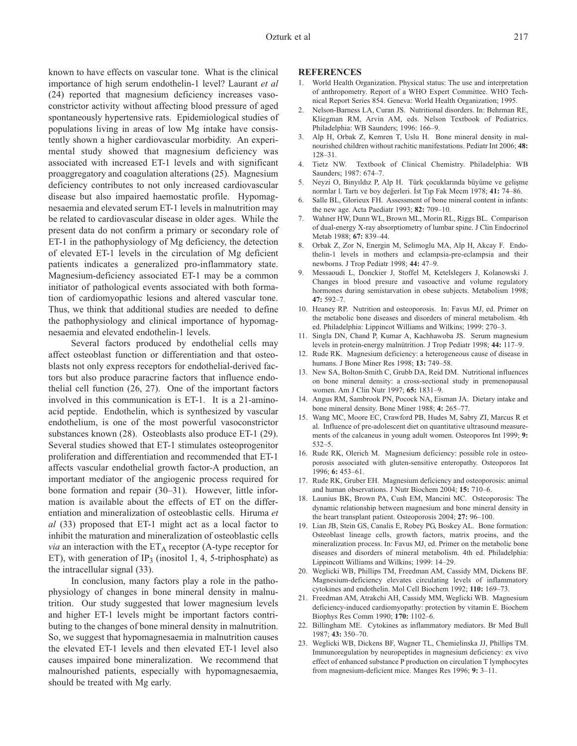known to have effects on vascular tone. What is the clinical importance of high serum endothelin-1 level? Laurant *et al* (24) reported that magnesium deficiency increases vasoconstrictor activity without affecting blood pressure of aged spontaneously hypertensive rats. Epidemiological studies of populations living in areas of low Mg intake have consistently shown a higher cardiovascular morbidity. An experimental study showed that magnesium deficiency was associated with increased ET-1 levels and with significant proaggregatory and coagulation alterations (25). Magnesium deficiency contributes to not only increased cardiovascular disease but also impaired haemostatic profile. Hypomagnesaemia and elevated serum ET-1 levels in malnutrition may be related to cardiovascular disease in older ages. While the present data do not confirm a primary or secondary role of ET-1 in the pathophysiology of Mg deficiency, the detection of elevated ET-1 levels in the circulation of Mg deficient patients indicates a generalized pro-inflammatory state. Magnesium-deficiency associated ET-1 may be a common initiator of pathological events associated with both formation of cardiomyopathic lesions and altered vascular tone. Thus, we think that additional studies are needed to define the pathophysiology and clinical importance of hypomagnesaemia and elevated endothelin-1 levels.

Several factors produced by endothelial cells may affect osteoblast function or differentiation and that osteoblasts not only express receptors for endothelial-derived factors but also produce paracrine factors that influence endothelial cell function (26, 27). One of the important factors involved in this communication is ET-1. It is a 21-aminoacid peptide. Endothelin, which is synthesized by vascular endothelium, is one of the most powerful vasoconstrictor substances known (28). Osteoblasts also produce ET-1 (29). Several studies showed that ET-1 stimulates osteoprogenitor proliferation and differentiation and recommended that ET-1 affects vascular endothelial growth factor-A production, an important mediator of the angiogenic process required for bone formation and repair (30–31). However, little information is available about the effects of ET on the differentiation and mineralization of osteoblastic cells. Hiruma *et al* (33) proposed that ET-1 might act as a local factor to inhibit the maturation and mineralization of osteoblastic cells *via* an interaction with the  $ET_A$  receptor (A-type receptor for ET), with generation of IP<sub>3</sub> (inositol 1, 4, 5-triphosphate) as the intracellular signal (33).

In conclusion, many factors play a role in the pathophysiology of changes in bone mineral density in malnutrition. Our study suggested that lower magnesium levels and higher ET-1 levels might be important factors contributing to the changes of bone mineral density in malnutrition. So, we suggest that hypomagnesaemia in malnutrition causes the elevated ET-1 levels and then elevated ET-1 level also causes impaired bone mineralization. We recommend that malnourished patients, especially with hypomagnesaemia, should be treated with Mg early.

#### **REFERENCES**

- World Health Organization. Physical status: The use and interpretation of anthropometry. Report of a WHO Expert Committee. WHO Technical Report Series 854. Geneva: World Health Organization; 1995.
- 2. Nelson-Barness LA, Curan JS. Nutritional disorders. In: Behrman RE, Kliegman RM, Arvin AM, eds. Nelson Textbook of Pediatrics. Philadelphia: WB Saunders; 1996: 166–9.
- 3. Alp H, Orbak Z, Kemren T, Uslu H. Bone mineral density in malnourished children without rachitic manifestations. Pediatr Int 2006; **48:** 128–31.
- 4. Tietz NW. Textbook of Clinical Chemistry. Philadelphia: WB Saunders; 1987: 674–7.
- 5. Neyzi O, Binyıldız P, Alp H. Türk çocuklarında büyüme ve gelişme normlar l. Tartı ve boy değerleri. İst Tıp Fak Mecm 1978; **41:** 74–86.
- 6. Salle BL, Glorieux FH. Assessment of bone mineral content in infants: the new age. Acta Paediatr 1993; **82:** 709–10.
- 7. Wahner HW, Dunn WL, Brown ML, Morin RL, Riggs BL. Comparison of dual-energy X-ray absorptiometry of lumbar spine. J Clin Endocrinol Metab 1988; **67:** 839–44.
- 8. Orbak Z, Zor N, Energin M, Selimoglu MA, Alp H, Akcay F. Endothelin-1 levels in mothers and eclampsia-pre-eclampsia and their newborns. J Trop Pediatr 1998; **44:** 47–9.
- 9. Messaoudi L, Donckier J, Stoffel M, Ketelslegers J, Kolanowski J. Changes in blood presure and vasoactive and volume regulatory hormones during semistarvation in obese subjects. Metabolism 1998; **47:** 592–7.
- 10. Heaney RP. Nutrition and osteoporosis. In: Favus MJ, ed. Primer on the metabolic bone diseases and disorders of mineral metabolism. 4th ed. Philadelphia: Lippincot Williams and Wilkins; 1999: 270–3.
- 11. Singla DN, Chand P, Kumar A, Kachhawoba JS. Serum magnesium levels in protein-energy malnütrition. J Trop Pediatr 1998; **44:** 117–9.
- 12. Rude RK. Magnesium deficiency: a heterogeneous cause of disease in humans. J Bone Miner Res 1998; **13:** 749–58.
- 13. New SA, Bolton-Smith C, Grubb DA, Reid DM. Nutritional influences on bone mineral density: a cross-sectional study in premenopausal women. Am J Clin Nutr 1997; **65:** 1831–9.
- 14. Angus RM, Sambrook PN, Pocock NA, Eisman JA. Dietary intake and bone mineral density. Bone Miner 1988; **4:** 265–77.
- 15. Wang MC, Moore EC, Crawford PB, Hudes M, Sabry ZI, Marcus R et al. Influence of pre-adolescent diet on quantitative ultrasound measurements of the calcaneus in young adult women. Osteoporos Int 1999; **9:** 532–5.
- 16. Rude RK, Olerich M. Magnesium deficiency: possible role in osteoporosis associated with gluten-sensitive enteropathy. Osteoporos Int 1996; **6:** 453–61.
- 17. Rude RK, Gruber EH. Magnesium deficiency and osteoporosis: animal and human observations. J Nutr Biochem 2004; **15:** 710–6.
- 18. Launius BK, Brown PA, Cush EM, Mancini MC. Osteoporosis: The dynamic relationship between magnesium and bone mineral density in the heart transplant patient. Osteoporosis 2004; **27:** 96–100.
- 19. Lian JB, Stein GS, Canalis E, Robey PG, Boskey AL. Bone formation: Osteoblast lineage cells, growth factors, matrix proeins, and the mineralization process. In: Favus MJ, ed. Primer on the metabolic bone diseases and disorders of mineral metabolism. 4th ed. Philadelphia: Lippincott Williams and Wilkins; 1999: 14–29.
- 20. Weglicki WB, Phillips TM, Freedman AM, Cassidy MM, Dickens BF. Magnesium-deficiency elevates circulating levels of inflammatory cytokines and endothelin. Mol Cell Biochem 1992; **110:** 169–73.
- 21. Freedman AM, Atrakchi AH, Cassidy MM, Weglicki WB. Magnesium deficiency-induced cardiomyopathy: protection by vitamin E. Biochem Biophys Res Comm 1990; **170:** 1102–6.
- 22. Billingham ME. Cytokines as inflammatory mediators. Br Med Bull 1987; **43:** 350–70.
- 23. Weglicki WB, Dickens BF, Wagner TL, Chemielinska JJ, Phillips TM. Immunoregulation by neuropeptides in magnesium deficiency: ex vivo effect of enhanced substance P production on circulation T lymphocytes from magnesium-deficient mice. Manges Res 1996; **9:** 3–11.